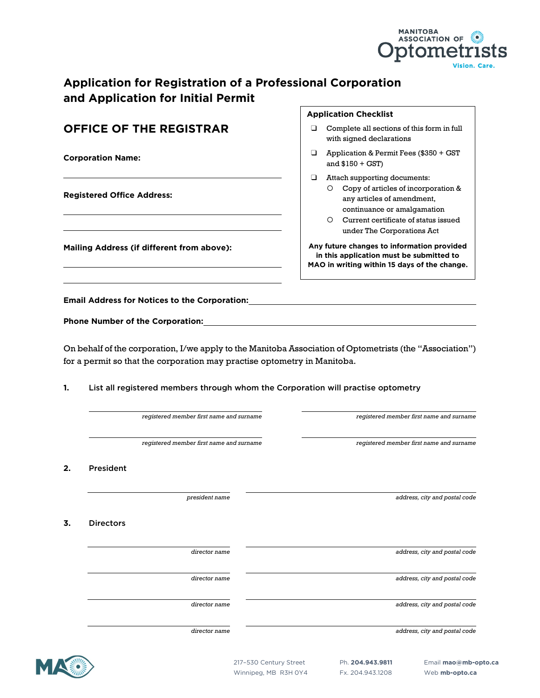# **Application for Registration of a Professional Corporation and Application for Initial Permit**

|          |                                                                                                                      | <b>Application Checklist</b>                                                                                                                                                                                                        |
|----------|----------------------------------------------------------------------------------------------------------------------|-------------------------------------------------------------------------------------------------------------------------------------------------------------------------------------------------------------------------------------|
|          | <b>OFFICE OF THE REGISTRAR</b>                                                                                       | Complete all sections of this form in full<br>❏<br>with signed declarations                                                                                                                                                         |
|          | <b>Corporation Name:</b>                                                                                             | Application & Permit Fees (\$350 + GST<br>❏<br>and $$150 + GST$ )                                                                                                                                                                   |
|          | <b>Registered Office Address:</b>                                                                                    | □<br>Attach supporting documents:<br>Copy of articles of incorporation &<br>$\circ$<br>any articles of amendment,<br>continuance or amalgamation<br>O Current certificate of status issued<br>under The Corporations Act            |
|          | Mailing Address (if different from above):                                                                           | Any future changes to information provided<br>in this application must be submitted to<br>MAO in writing within 15 days of the change.                                                                                              |
|          |                                                                                                                      | <b>Email Address for Notices to the Corporation:</b> The state of the state of the state of the state of the state of the state of the state of the state of the state of the state of the state of the state of the state of the s |
|          |                                                                                                                      |                                                                                                                                                                                                                                     |
|          |                                                                                                                      |                                                                                                                                                                                                                                     |
|          |                                                                                                                      | On behalf of the corporation, I/we apply to the Manitoba Association of Optometrists (the "Association")                                                                                                                            |
|          | for a permit so that the corporation may practise optometry in Manitoba.<br>registered member first name and surname | List all registered members through whom the Corporation will practise optometry<br>registered member first name and surname                                                                                                        |
| 1.       | registered member first name and surname                                                                             | registered member first name and surname                                                                                                                                                                                            |
|          | President                                                                                                            |                                                                                                                                                                                                                                     |
|          | president name                                                                                                       | address, city and postal code                                                                                                                                                                                                       |
|          | <b>Directors</b>                                                                                                     |                                                                                                                                                                                                                                     |
| 2.<br>3. | director name                                                                                                        | address, city and postal code                                                                                                                                                                                                       |
|          | director name                                                                                                        | address, city and postal code                                                                                                                                                                                                       |

*director name address, city and postal code*

MANITOBA<br>ASSOCIATION OF Optometrists

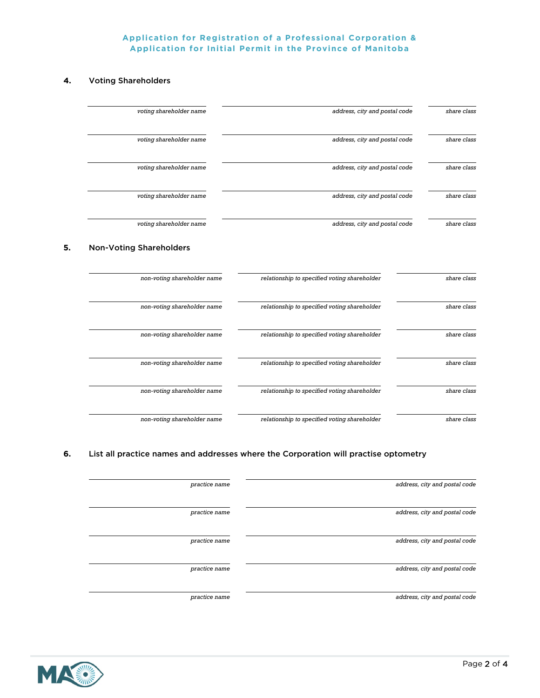### **Application for Registration of a Professional Corporation & Application for Initial Permit in the Province of Manitoba**

### **4.** Voting Shareholders

| voting shareholder name                                       | address, city and postal code                | share class |
|---------------------------------------------------------------|----------------------------------------------|-------------|
| voting shareholder name                                       | address, city and postal code                | share class |
| voting shareholder name                                       | address, city and postal code                | share class |
| voting shareholder name                                       | address, city and postal code                | share class |
| voting shareholder name                                       | address, city and postal code                | share class |
| <b>Non-Voting Shareholders</b><br>non-voting shareholder name | relationship to specified voting shareholder |             |
|                                                               |                                              | share class |
| non-voting shareholder name                                   | relationship to specified voting shareholder | share class |
| non-voting shareholder name                                   | relationship to specified voting shareholder | share class |
| non-voting shareholder name                                   | relationship to specified voting shareholder | share class |
| non-voting shareholder name                                   | relationship to specified voting shareholder | share class |
| non-voting shareholder name                                   | relationship to specified voting shareholder | share class |

## **6.** List all practice names and addresses where the Corporation will practise optometry

| address, city and postal code | practice name |
|-------------------------------|---------------|
| address, city and postal code | practice name |
| address, city and postal code | practice name |
| address, city and postal code | practice name |
| address, city and postal code | practice name |

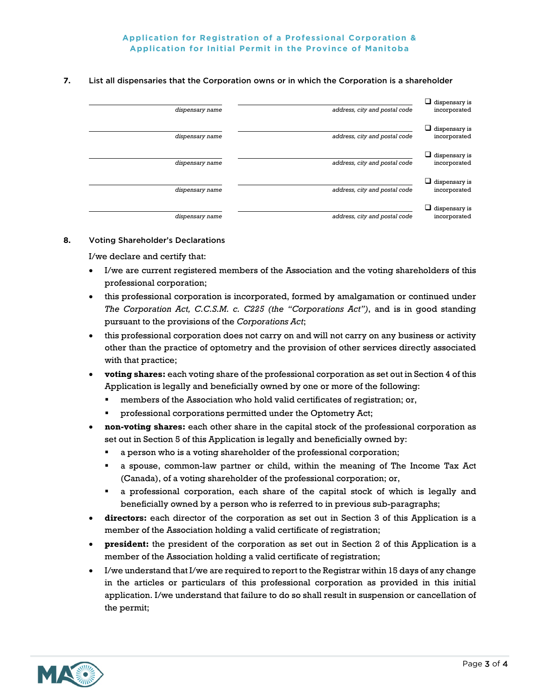## **Application for Registration of a Professional Corporation & Application for Initial Permit in the Province of Manitoba**

#### **7.** List all dispensaries that the Corporation owns or in which the Corporation is a shareholder

| dispensary name | address, city and postal code | $\Box$ dispensary is<br>incorporated |
|-----------------|-------------------------------|--------------------------------------|
| dispensary name | address, city and postal code | $\Box$ dispensary is<br>incorporated |
| dispensary name | address, city and postal code | $\Box$ dispensary is<br>incorporated |
| dispensary name | address, city and postal code | $\Box$ dispensary is<br>incorporated |
| dispensary name | address, city and postal code | $\Box$ dispensary is<br>incorporated |

#### **8.** Voting Shareholder's Declarations

I/we declare and certify that:

- I/we are current registered members of the Association and the voting shareholders of this professional corporation;
- this professional corporation is incorporated, formed by amalgamation or continued under *The Corporation Act, C.C.S.M. c. C225 (the "Corporations Act")*, and is in good standing pursuant to the provisions of the *Corporations Act*;
- this professional corporation does not carry on and will not carry on any business or activity other than the practice of optometry and the provision of other services directly associated with that practice;
- **voting shares:** each voting share of the professional corporation as set out in Section 4 of this Application is legally and beneficially owned by one or more of the following:
	- members of the Association who hold valid certificates of registration; or,
	- professional corporations permitted under the Optometry Act;
- **non-voting shares:** each other share in the capital stock of the professional corporation as set out in Section 5 of this Application is legally and beneficially owned by:
	- a person who is a voting shareholder of the professional corporation;
	- a spouse, common-law partner or child, within the meaning of The Income Tax Act (Canada), of a voting shareholder of the professional corporation; or,
	- a professional corporation, each share of the capital stock of which is legally and beneficially owned by a person who is referred to in previous sub-paragraphs;
- **directors:** each director of the corporation as set out in Section 3 of this Application is a member of the Association holding a valid certificate of registration;
- **president:** the president of the corporation as set out in Section 2 of this Application is a member of the Association holding a valid certificate of registration;
- I/we understand that I/we are required to report to the Registrar within 15 days of any change in the articles or particulars of this professional corporation as provided in this initial application. I/we understand that failure to do so shall result in suspension or cancellation of the permit;